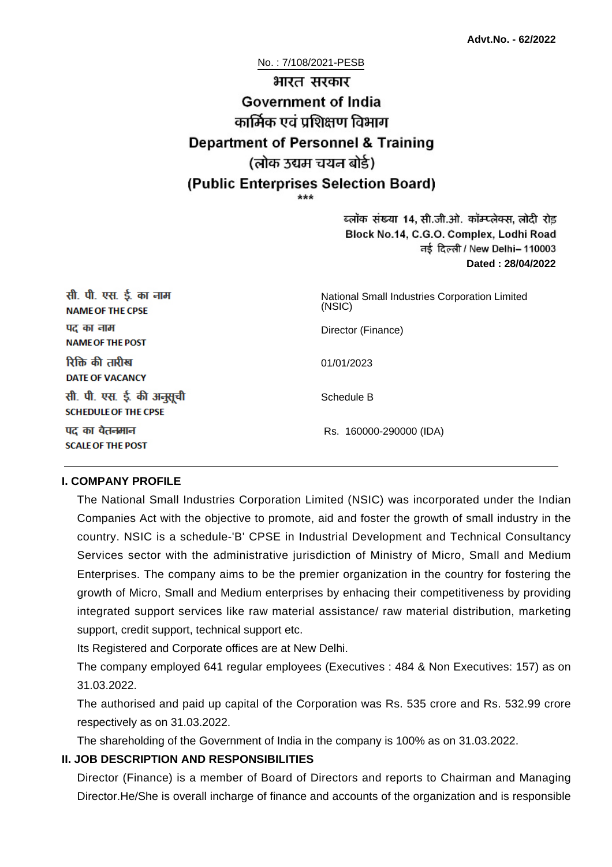No. : 7/108/2021-PESB

# भारत सरकार **Government of India** कार्मिक एवं पशिक्षण विभाग **Department of Personnel & Training** (लोक उद्यम चयन बोर्ड) (Public Enterprises Selection Board)

ब्लॉक संख्या 14, सी.जी.ओ. कॉम्प्लेक्स, लोदी रोड Block No.14, C.G.O. Complex, Lodhi Road ਰई दिल्ली / New Delhi– 110003 **Dated : 28/04/2022**

| सी. पी. एस. ई. का नाम<br><b>NAME OF THE CPSE</b>         | National Small Industries Corporation Limited<br>(NSIC) |
|----------------------------------------------------------|---------------------------------------------------------|
| पद का नाम<br><b>NAME OF THE POST</b>                     | Director (Finance)                                      |
| रिक्ति की तारीख<br><b>DATE OF VACANCY</b>                | 01/01/2023                                              |
| सी. पी. एस. ई. की अनुसूची<br><b>SCHEDULE OF THE CPSE</b> | Schedule B                                              |
| पद का वेतनमान<br><b>SCALE OF THE POST</b>                | Rs. 160000-290000 (IDA)                                 |

#### **I. COMPANY PROFILE**

The National Small Industries Corporation Limited (NSIC) was incorporated under the Indian Companies Act with the objective to promote, aid and foster the growth of small industry in the country. NSIC is a schedule-'B' CPSE in Industrial Development and Technical Consultancy Services sector with the administrative jurisdiction of Ministry of Micro, Small and Medium Enterprises. The company aims to be the premier organization in the country for fostering the growth of Micro, Small and Medium enterprises by enhacing their competitiveness by providing integrated support services like raw material assistance/ raw material distribution, marketing support, credit support, technical support etc.

Its Registered and Corporate offices are at New Delhi.

The company employed 641 regular employees (Executives : 484 & Non Executives: 157) as on 31.03.2022.

The authorised and paid up capital of the Corporation was Rs. 535 crore and Rs. 532.99 crore respectively as on 31.03.2022.

The shareholding of the Government of India in the company is 100% as on 31.03.2022.

#### **II. JOB DESCRIPTION AND RESPONSIBILITIES**

Director (Finance) is a member of Board of Directors and reports to Chairman and Managing Director.He/She is overall incharge of finance and accounts of the organization and is responsible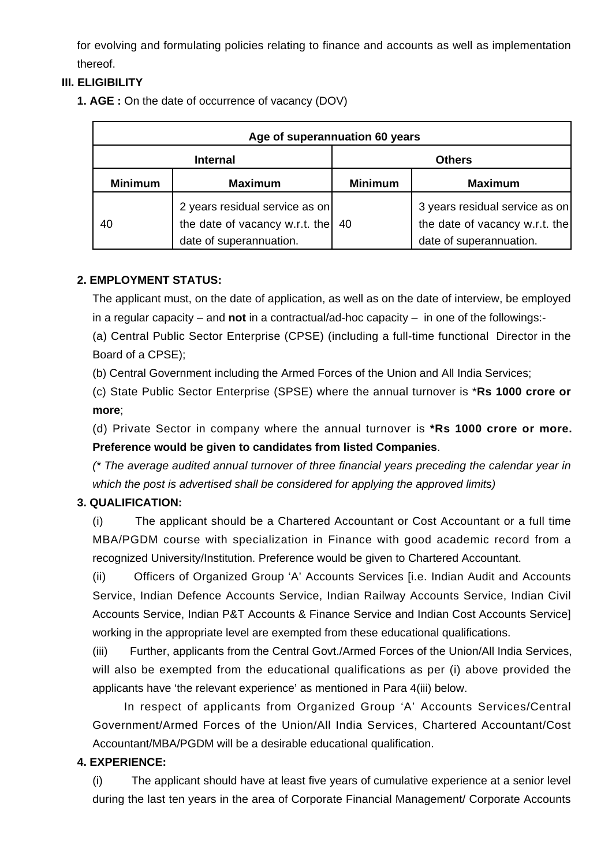for evolving and formulating policies relating to finance and accounts as well as implementation thereof.

#### **III. ELIGIBILITY**

**1. AGE :** On the date of occurrence of vacancy (DOV)

| Age of superannuation 60 years |                                                                                             |                |                                                                                             |  |
|--------------------------------|---------------------------------------------------------------------------------------------|----------------|---------------------------------------------------------------------------------------------|--|
| <b>Internal</b>                |                                                                                             | <b>Others</b>  |                                                                                             |  |
| <b>Minimum</b>                 | <b>Maximum</b>                                                                              | <b>Minimum</b> | <b>Maximum</b>                                                                              |  |
| 40                             | 2 years residual service as on<br>the date of vacancy w.r.t. the<br>date of superannuation. | 40             | 3 years residual service as on<br>the date of vacancy w.r.t. the<br>date of superannuation. |  |

#### **2. EMPLOYMENT STATUS:**

The applicant must, on the date of application, as well as on the date of interview, be employed in a regular capacity – and **not** in a contractual/ad-hoc capacity – in one of the followings:-

(a) Central Public Sector Enterprise (CPSE) (including a full-time functional Director in the Board of a CPSE);

(b) Central Government including the Armed Forces of the Union and All India Services;

(c) State Public Sector Enterprise (SPSE) where the annual turnover is \***Rs 1000 crore or more**;

(d) Private Sector in company where the annual turnover is **\*Rs 1000 crore or more. Preference would be given to candidates from listed Companies**.

(\* The average audited annual turnover of three financial years preceding the calendar year in which the post is advertised shall be considered for applying the approved limits)

#### **3. QUALIFICATION:**

(i) The applicant should be a Chartered Accountant or Cost Accountant or a full time MBA/PGDM course with specialization in Finance with good academic record from a recognized University/Institution. Preference would be given to Chartered Accountant.

(ii) Officers of Organized Group 'A' Accounts Services [i.e. Indian Audit and Accounts Service, Indian Defence Accounts Service, Indian Railway Accounts Service, Indian Civil Accounts Service, Indian P&T Accounts & Finance Service and Indian Cost Accounts Service] working in the appropriate level are exempted from these educational qualifications.

(iii) Further, applicants from the Central Govt./Armed Forces of the Union/All India Services, will also be exempted from the educational qualifications as per (i) above provided the applicants have 'the relevant experience' as mentioned in Para 4(iii) below.

 In respect of applicants from Organized Group 'A' Accounts Services/Central Government/Armed Forces of the Union/All India Services, Chartered Accountant/Cost Accountant/MBA/PGDM will be a desirable educational qualification.

#### **4. EXPERIENCE:**

(i) The applicant should have at least five years of cumulative experience at a senior level during the last ten years in the area of Corporate Financial Management/ Corporate Accounts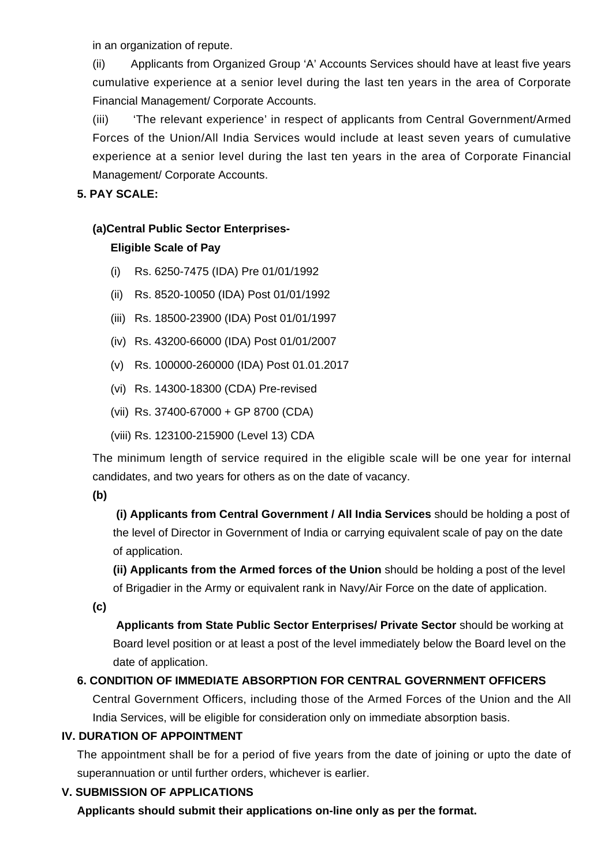in an organization of repute.

(ii) Applicants from Organized Group 'A' Accounts Services should have at least five years cumulative experience at a senior level during the last ten years in the area of Corporate Financial Management/ Corporate Accounts.

(iii) 'The relevant experience' in respect of applicants from Central Government/Armed Forces of the Union/All India Services would include at least seven years of cumulative experience at a senior level during the last ten years in the area of Corporate Financial Management/ Corporate Accounts.

#### **5. PAY SCALE:**

## **(a)Central Public Sector Enterprises-**

## **Eligible Scale of Pay**

- (i) Rs. 6250-7475 (IDA) Pre 01/01/1992
- (ii) Rs. 8520-10050 (IDA) Post 01/01/1992
- (iii) Rs. 18500-23900 (IDA) Post 01/01/1997
- (iv) Rs. 43200-66000 (IDA) Post 01/01/2007
- (v) Rs. 100000-260000 (IDA) Post 01.01.2017
- (vi) Rs. 14300-18300 (CDA) Pre-revised
- (vii) Rs. 37400-67000 + GP 8700 (CDA)
- (viii) Rs. 123100-215900 (Level 13) CDA

The minimum length of service required in the eligible scale will be one year for internal candidates, and two years for others as on the date of vacancy.

## **(b)**

**(i) Applicants from Central Government / All India Services** should be holding a post of the level of Director in Government of India or carrying equivalent scale of pay on the date of application.

**(ii) Applicants from the Armed forces of the Union** should be holding a post of the level of Brigadier in the Army or equivalent rank in Navy/Air Force on the date of application.

**(c)**

 **Applicants from State Public Sector Enterprises/ Private Sector** should be working at Board level position or at least a post of the level immediately below the Board level on the date of application.

## **6. CONDITION OF IMMEDIATE ABSORPTION FOR CENTRAL GOVERNMENT OFFICERS**

Central Government Officers, including those of the Armed Forces of the Union and the All India Services, will be eligible for consideration only on immediate absorption basis.

## **IV. DURATION OF APPOINTMENT**

The appointment shall be for a period of five years from the date of joining or upto the date of superannuation or until further orders, whichever is earlier.

## **V. SUBMISSION OF APPLICATIONS**

**Applicants should submit their applications on-line only as per the format.**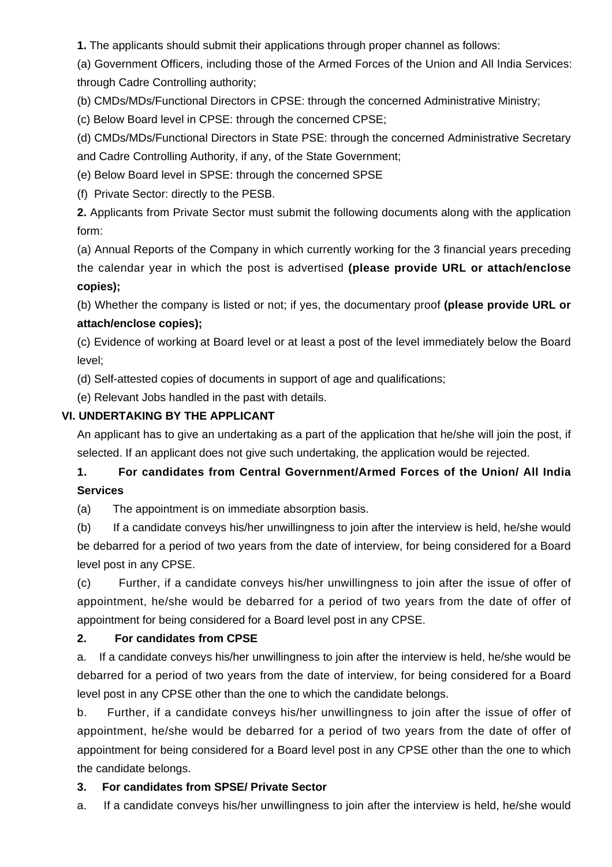**1.** The applicants should submit their applications through proper channel as follows:

(a) Government Officers, including those of the Armed Forces of the Union and All India Services: through Cadre Controlling authority;

(b) CMDs/MDs/Functional Directors in CPSE: through the concerned Administrative Ministry;

(c) Below Board level in CPSE: through the concerned CPSE;

(d) CMDs/MDs/Functional Directors in State PSE: through the concerned Administrative Secretary and Cadre Controlling Authority, if any, of the State Government;

(e) Below Board level in SPSE: through the concerned SPSE

(f) Private Sector: directly to the PESB.

**2.** Applicants from Private Sector must submit the following documents along with the application form:

(a) Annual Reports of the Company in which currently working for the 3 financial years preceding the calendar year in which the post is advertised **(please provide URL or attach/enclose copies);**

(b) Whether the company is listed or not; if yes, the documentary proof **(please provide URL or attach/enclose copies);**

(c) Evidence of working at Board level or at least a post of the level immediately below the Board level;

(d) Self-attested copies of documents in support of age and qualifications;

(e) Relevant Jobs handled in the past with details.

#### **VI. UNDERTAKING BY THE APPLICANT**

An applicant has to give an undertaking as a part of the application that he/she will join the post, if selected. If an applicant does not give such undertaking, the application would be rejected.

# **1. For candidates from Central Government/Armed Forces of the Union/ All India Services**

(a) The appointment is on immediate absorption basis.

(b) If a candidate conveys his/her unwillingness to join after the interview is held, he/she would be debarred for a period of two years from the date of interview, for being considered for a Board level post in any CPSE.

(c) Further, if a candidate conveys his/her unwillingness to join after the issue of offer of appointment, he/she would be debarred for a period of two years from the date of offer of appointment for being considered for a Board level post in any CPSE.

## **2. For candidates from CPSE**

a. If a candidate conveys his/her unwillingness to join after the interview is held, he/she would be debarred for a period of two years from the date of interview, for being considered for a Board level post in any CPSE other than the one to which the candidate belongs.

b. Further, if a candidate conveys his/her unwillingness to join after the issue of offer of appointment, he/she would be debarred for a period of two years from the date of offer of appointment for being considered for a Board level post in any CPSE other than the one to which the candidate belongs.

## **3. For candidates from SPSE/ Private Sector**

a. If a candidate conveys his/her unwillingness to join after the interview is held, he/she would